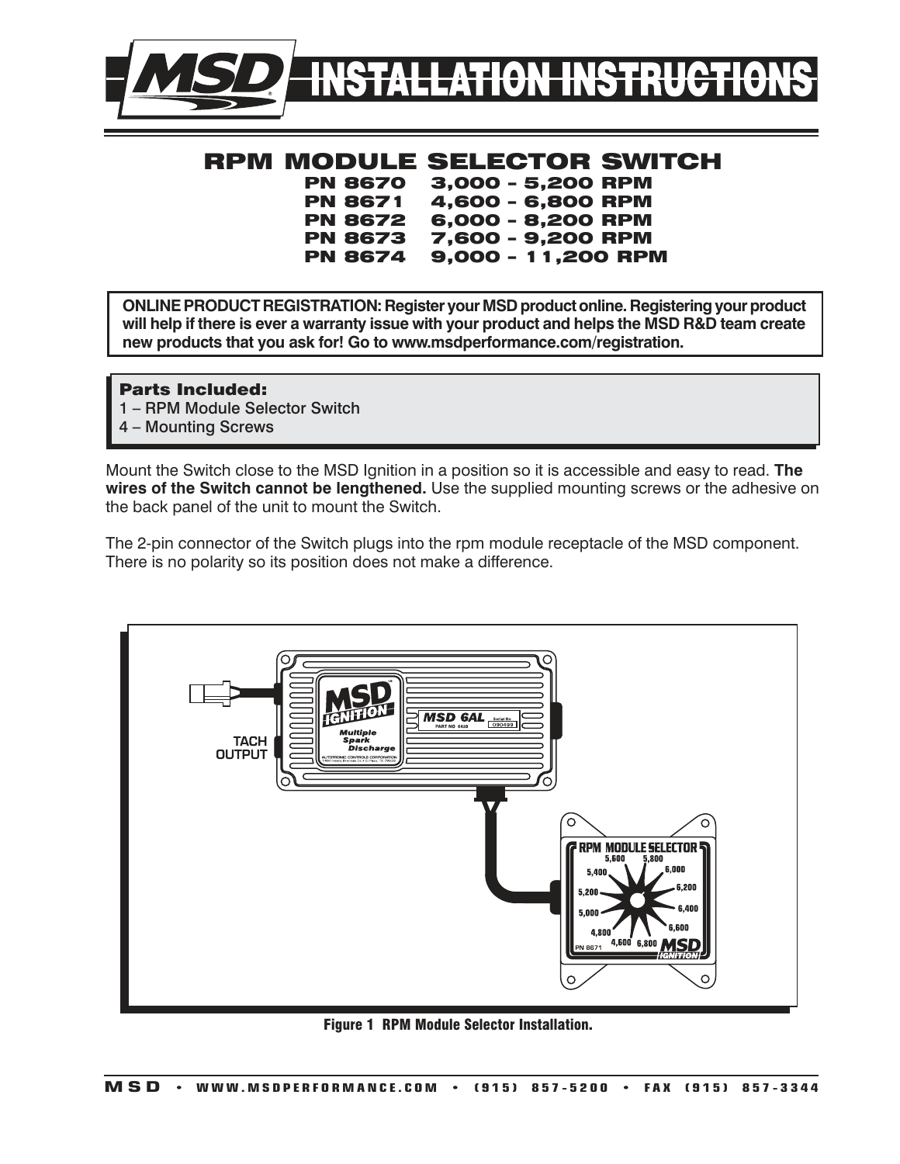

## RPM MODULE SELECTOR SWITCH

 PN 8670 3,000 – 5,200 RPM 4,600 - 6,800 RPM PN 8672 6,000 – 8,200 RPM PN 8673 7,600 – 9,200 RPM PN 8674 9,000 – 11,200 RPM

**ONLINE PRODUCT REGISTRATION: Register your MSD product online. Registering your product will help if there is ever a warranty issue with your product and helps the MSD R&D team create new products that you ask for! Go to www.msdperformance.com/registration.**

### Parts Included:

- 1 RPM Module Selector Switch
- 4 Mounting Screws

Mount the Switch close to the MSD Ignition in a position so it is accessible and easy to read. **The wires of the Switch cannot be lengthened.** Use the supplied mounting screws or the adhesive on the back panel of the unit to mount the Switch.

The 2-pin connector of the Switch plugs into the rpm module receptacle of the MSD component. There is no polarity so its position does not make a difference.



Figure 1 RPM Module Selector Installation.